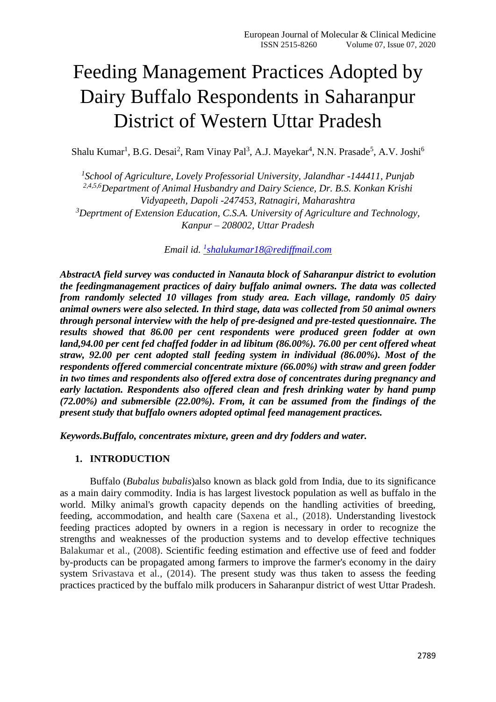# Feeding Management Practices Adopted by Dairy Buffalo Respondents in Saharanpur District of Western Uttar Pradesh

Shalu Kumar<sup>1</sup>, B.G. Desai<sup>2</sup>, Ram Vinay Pal<sup>3</sup>, A.J. Mayekar<sup>4</sup>, N.N. Prasade<sup>5</sup>, A.V. Joshi<sup>6</sup>

*1 School of Agriculture, Lovely Professorial University, Jalandhar -144411, Punjab 2,4,5,6Department of Animal Husbandry and Dairy Science, Dr. B.S. Konkan Krishi Vidyapeeth, Dapoli -247453, Ratnagiri, Maharashtra <sup>3</sup>Deprtment of Extension Education, C.S.A. University of Agriculture and Technology, Kanpur – 208002, Uttar Pradesh*

*Email id. <sup>1</sup> [shalukumar18@rediffmail.com](mailto:1shalukumar18@rediffmail.com)*

*AbstractA field survey was conducted in Nanauta block of Saharanpur district to evolution the feedingmanagement practices of dairy buffalo animal owners. The data was collected from randomly selected 10 villages from study area. Each village, randomly 05 dairy animal owners were also selected. In third stage, data was collected from 50 animal owners through personal interview with the help of pre-designed and pre-tested questionnaire. The results showed that 86.00 per cent respondents were produced green fodder at own land,94.00 per cent fed chaffed fodder in ad libitum (86.00%). 76.00 per cent offered wheat straw, 92.00 per cent adopted stall feeding system in individual (86.00%). Most of the respondents offered commercial concentrate mixture (66.00%) with straw and green fodder in two times and respondents also offered extra dose of concentrates during pregnancy and early lactation. Respondents also offered clean and fresh drinking water by hand pump (72.00%) and submersible (22.00%). From, it can be assumed from the findings of the present study that buffalo owners adopted optimal feed management practices.*

*Keywords.Buffalo, concentrates mixture, green and dry fodders and water.*

## **1. INTRODUCTION**

Buffalo (*Bubalus bubalis*)also known as black gold from India, due to its significance as a main dairy commodity. India is has largest livestock population as well as buffalo in the world. Milky animal's growth capacity depends on the handling activities of breeding, feeding, accommodation, and health care (Saxena et al., (2018). Understanding livestock feeding practices adopted by owners in a region is necessary in order to recognize the strengths and weaknesses of the production systems and to develop effective techniques Balakumar et al., (2008). Scientific feeding estimation and effective use of feed and fodder by-products can be propagated among farmers to improve the farmer's economy in the dairy system Srivastava et al., (2014). The present study was thus taken to assess the feeding practices practiced by the buffalo milk producers in Saharanpur district of west Uttar Pradesh.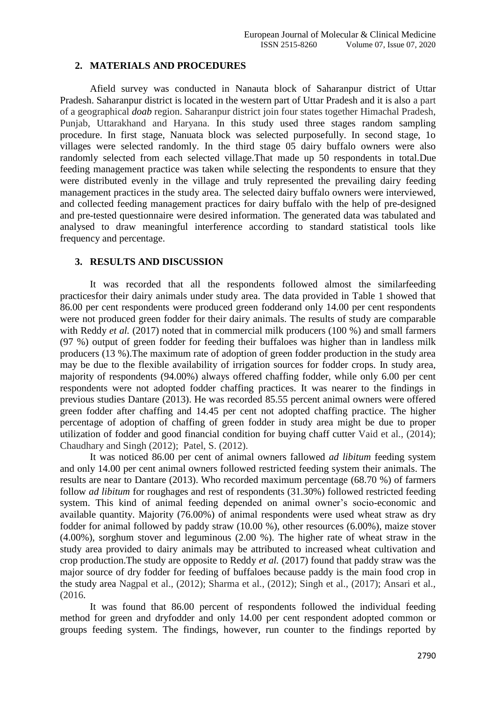## **2. MATERIALS AND PROCEDURES**

Afield survey was conducted in Nanauta block of Saharanpur district of Uttar Pradesh. Saharanpur district is located in the western part of Uttar Pradesh and it is also a part of a geographical *[doab](https://en.wikipedia.org/wiki/Doab)* region. Saharanpur district join four states together Himachal Pradesh, Punjab, Uttarakhand and Haryana. In this study used three stages random sampling procedure. In first stage, Nanuata block was selected purposefully. In second stage, 1o villages were selected randomly. In the third stage 05 dairy buffalo owners were also randomly selected from each selected village.That made up 50 respondents in total.Due feeding management practice was taken while selecting the respondents to ensure that they were distributed evenly in the village and truly represented the prevailing dairy feeding management practices in the study area. The selected dairy buffalo owners were interviewed, and collected feeding management practices for dairy buffalo with the help of pre-designed and pre-tested questionnaire were desired information. The generated data was tabulated and analysed to draw meaningful interference according to standard statistical tools like frequency and percentage.

# **3. RESULTS AND DISCUSSION**

It was recorded that all the respondents followed almost the similarfeeding practicesfor their dairy animals under study area. The data provided in Table 1 showed that 86.00 per cent respondents were produced green fodderand only 14.00 per cent respondents were not produced green fodder for their dairy animals. The results of study are comparable with Reddy *et al.* (2017) noted that in commercial milk producers (100 %) and small farmers (97 %) output of green fodder for feeding their buffaloes was higher than in landless milk producers (13 %).The maximum rate of adoption of green fodder production in the study area may be due to the flexible availability of irrigation sources for fodder crops. In study area, majority of respondents (94.00%) always offered chaffing fodder, while only 6.00 per cent respondents were not adopted fodder chaffing practices. It was nearer to the findings in previous studies Dantare (2013). He was recorded 85.55 percent animal owners were offered green fodder after chaffing and 14.45 per cent not adopted chaffing practice. The higher percentage of adoption of chaffing of green fodder in study area might be due to proper utilization of fodder and good financial condition for buying chaff cutter Vaid et al., (2014); Chaudhary and Singh (2012); Patel, S. (2012).

It was noticed 86.00 per cent of animal owners fallowed *ad libitum* feeding system and only 14.00 per cent animal owners followed restricted feeding system their animals. The results are near to Dantare (2013). Who recorded maximum percentage (68.70 %) of farmers follow *ad libitum* for roughages and rest of respondents (31.30%) followed restricted feeding system. This kind of animal feeding depended on animal owner's socio-economic and available quantity. Majority (76.00%) of animal respondents were used wheat straw as dry fodder for animal followed by paddy straw (10.00 %), other resources (6.00%), maize stover (4.00%), sorghum stover and leguminous (2.00 %). The higher rate of wheat straw in the study area provided to dairy animals may be attributed to increased wheat cultivation and crop production.The study are opposite to Reddy *et al.* (2017) found that paddy straw was the major source of dry fodder for feeding of buffaloes because paddy is the main food crop in the study area Nagpal et al., (2012); Sharma et al., (2012); Singh et al., (2017); Ansari et al., (2016.

It was found that 86.00 percent of respondents followed the individual feeding method for green and dryfodder and only 14.00 per cent respondent adopted common or groups feeding system. The findings, however, run counter to the findings reported by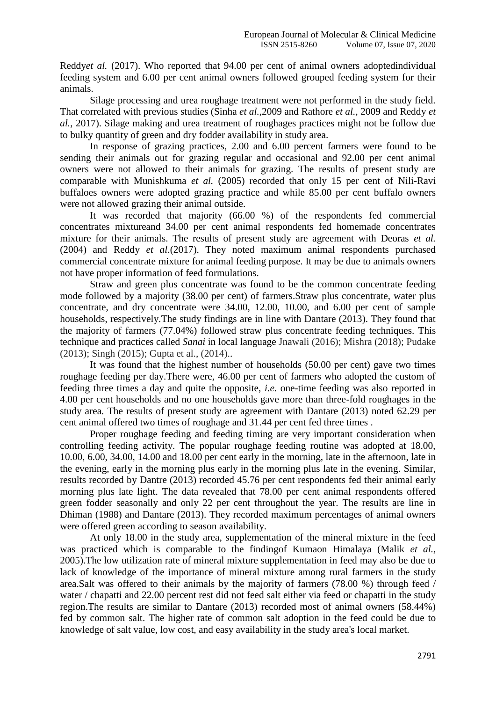Reddy*et al.* (2017). Who reported that 94.00 per cent of animal owners adoptedindividual feeding system and 6.00 per cent animal owners followed grouped feeding system for their animals.

Silage processing and urea roughage treatment were not performed in the study field. That correlated with previous studies (Sinha *et al.,*2009 and Rathore *et al.,* 2009 and Reddy *et al.*, 2017). Silage making and urea treatment of roughages practices might not be follow due to bulky quantity of green and dry fodder availability in study area.

In response of grazing practices, 2.00 and 6.00 percent farmers were found to be sending their animals out for grazing regular and occasional and 92.00 per cent animal owners were not allowed to their animals for grazing. The results of present study are comparable with Munishkuma *et al.* (2005) recorded that only 15 per cent of Nili-Ravi buffaloes owners were adopted grazing practice and while 85.00 per cent buffalo owners were not allowed grazing their animal outside.

It was recorded that majority (66.00 %) of the respondents fed commercial concentrates mixtureand 34.00 per cent animal respondents fed homemade concentrates mixture for their animals. The results of present study are agreement with Deoras *et al.* (2004) and Reddy *et al*.(2017). They noted maximum animal respondents purchased commercial concentrate mixture for animal feeding purpose. It may be due to animals owners not have proper information of feed formulations.

Straw and green plus concentrate was found to be the common concentrate feeding mode followed by a majority (38.00 per cent) of farmers.Straw plus concentrate, water plus concentrate, and dry concentrate were 34.00, 12.00, 10.00, and 6.00 per cent of sample households, respectively.The study findings are in line with Dantare (2013). They found that the majority of farmers (77.04%) followed straw plus concentrate feeding techniques. This technique and practices called *Sanai* in local language Jnawali (2016); Mishra (2018); Pudake (2013); Singh (2015); Gupta et al., (2014)..

It was found that the highest number of households (50.00 per cent) gave two times roughage feeding per day.There were, 46.00 per cent of farmers who adopted the custom of feeding three times a day and quite the opposite, *i.e.* one-time feeding was also reported in 4.00 per cent households and no one households gave more than three-fold roughages in the study area. The results of present study are agreement with Dantare (2013) noted 62.29 per cent animal offered two times of roughage and 31.44 per cent fed three times .

Proper roughage feeding and feeding timing are very important consideration when controlling feeding activity. The popular roughage feeding routine was adopted at 18.00, 10.00, 6.00, 34.00, 14.00 and 18.00 per cent early in the morning, late in the afternoon, late in the evening, early in the morning plus early in the morning plus late in the evening. Similar, results recorded by Dantre (2013) recorded 45.76 per cent respondents fed their animal early morning plus late light. The data revealed that 78.00 per cent animal respondents offered green fodder seasonally and only 22 per cent throughout the year. The results are line in Dhiman (1988) and Dantare (2013). They recorded maximum percentages of animal owners were offered green according to season availability.

At only 18.00 in the study area, supplementation of the mineral mixture in the feed was practiced which is comparable to the findingof Kumaon Himalaya (Malik *et al.,* 2005).The low utilization rate of mineral mixture supplementation in feed may also be due to lack of knowledge of the importance of mineral mixture among rural farmers in the study area.Salt was offered to their animals by the majority of farmers (78.00 %) through feed / water / chapatti and 22.00 percent rest did not feed salt either via feed or chapatti in the study region.The results are similar to Dantare (2013) recorded most of animal owners (58.44%) fed by common salt. The higher rate of common salt adoption in the feed could be due to knowledge of salt value, low cost, and easy availability in the study area's local market.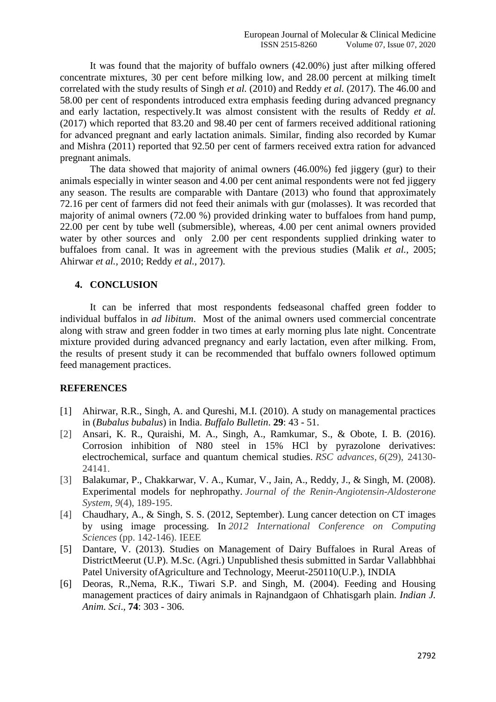It was found that the majority of buffalo owners (42.00%) just after milking offered concentrate mixtures, 30 per cent before milking low, and 28.00 percent at milking timeIt correlated with the study results of Singh *et al.* (2010) and Reddy *et al.* (2017). The 46.00 and 58.00 per cent of respondents introduced extra emphasis feeding during advanced pregnancy and early lactation, respectively.It was almost consistent with the results of Reddy *et al.* (2017) which reported that 83.20 and 98.40 per cent of farmers received additional rationing for advanced pregnant and early lactation animals. Similar, finding also recorded by Kumar and Mishra (2011) reported that 92.50 per cent of farmers received extra ration for advanced pregnant animals.

The data showed that majority of animal owners (46.00%) fed jiggery (gur) to their animals especially in winter season and 4.00 per cent animal respondents were not fed jiggery any season. The results are comparable with Dantare (2013) who found that approximately 72.16 per cent of farmers did not feed their animals with gur (molasses). It was recorded that majority of animal owners (72.00 %) provided drinking water to buffaloes from hand pump, 22.00 per cent by tube well (submersible), whereas, 4.00 per cent animal owners provided water by other sources and only 2.00 per cent respondents supplied drinking water to buffaloes from canal. It was in agreement with the previous studies (Malik *et al.,* 2005; Ahirwar *et al.,* 2010; Reddy *et al.,* 2017).

### **4. CONCLUSION**

It can be inferred that most respondents fedseasonal chaffed green fodder to individual buffalos in *ad libitum*. Most of the animal owners used commercial concentrate along with straw and green fodder in two times at early morning plus late night. Concentrate mixture provided during advanced pregnancy and early lactation, even after milking. From, the results of present study it can be recommended that buffalo owners followed optimum feed management practices.

### **REFERENCES**

- [1] Ahirwar, R.R., Singh, A. and Qureshi, M.I. (2010). A study on managemental practices in (*Bubalus bubalus*) in India. *Buffalo Bulletin*. **29**: 43 - 51.
- [2] Ansari, K. R., Quraishi, M. A., Singh, A., Ramkumar, S., & Obote, I. B. (2016). Corrosion inhibition of N80 steel in 15% HCl by pyrazolone derivatives: electrochemical, surface and quantum chemical studies. *RSC advances*, *6*(29), 24130- 24141.
- [3] Balakumar, P., Chakkarwar, V. A., Kumar, V., Jain, A., Reddy, J., & Singh, M. (2008). Experimental models for nephropathy. *Journal of the Renin-Angiotensin-Aldosterone System*, *9*(4), 189-195.
- [4] Chaudhary, A., & Singh, S. S. (2012, September). Lung cancer detection on CT images by using image processing. In *2012 International Conference on Computing Sciences* (pp. 142-146). IEEE
- [5] Dantare, V. (2013). Studies on Management of Dairy Buffaloes in Rural Areas of DistrictMeerut (U.P). M.Sc. (Agri.) Unpublished thesis submitted in Sardar Vallabhbhai Patel University ofAgriculture and Technology, Meerut-250110(U.P.), INDIA
- [6] Deoras, R.,Nema, R.K., Tiwari S.P. and Singh, M. (2004). Feeding and Housing management practices of dairy animals in Rajnandgaon of Chhatisgarh plain. *Indian J. Anim. Sci*., **74**: 303 - 306.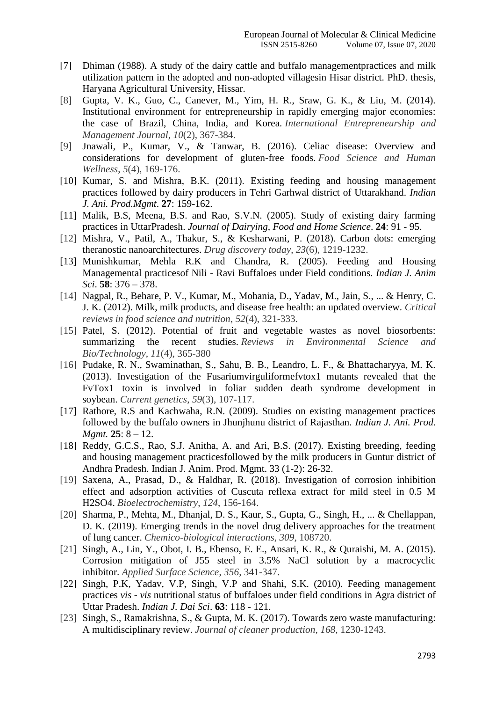- [7] Dhiman (1988). A study of the dairy cattle and buffalo managementpractices and milk utilization pattern in the adopted and non-adopted villagesin Hisar district. PhD. thesis, Haryana Agricultural University, Hissar.
- [8] Gupta, V. K., Guo, C., Canever, M., Yim, H. R., Sraw, G. K., & Liu, M. (2014). Institutional environment for entrepreneurship in rapidly emerging major economies: the case of Brazil, China, India, and Korea. *International Entrepreneurship and Management Journal*, *10*(2), 367-384.
- [9] Jnawali, P., Kumar, V., & Tanwar, B. (2016). Celiac disease: Overview and considerations for development of gluten-free foods. *Food Science and Human Wellness*, *5*(4), 169-176.
- [10] Kumar, S. and Mishra, B.K. (2011). Existing feeding and housing management practices followed by dairy producers in Tehri Garhwal district of Uttarakhand. *Indian J. Ani. Prod.Mgmt*. **27**: 159-162.
- [11] Malik, B.S, Meena, B.S. and Rao, S.V.N. (2005). Study of existing dairy farming practices in UttarPradesh. *Journal of Dairying, Food and Home Science*. **24**: 91 - 95.
- [12] Mishra, V., Patil, A., Thakur, S., & Kesharwani, P. (2018). Carbon dots: emerging theranostic nanoarchitectures. *Drug discovery today*, *23*(6), 1219-1232.
- [13] Munishkumar, Mehla R.K and Chandra, R. (2005). Feeding and Housing Managemental practicesof Nili - Ravi Buffaloes under Field conditions. *Indian J. Anim Sci*. **58**: 376 – 378.
- [14] Nagpal, R., Behare, P. V., Kumar, M., Mohania, D., Yadav, M., Jain, S., ... & Henry, C. J. K. (2012). Milk, milk products, and disease free health: an updated overview. *Critical reviews in food science and nutrition*, *52*(4), 321-333.
- [15] Patel, S. (2012). Potential of fruit and vegetable wastes as novel biosorbents: summarizing the recent studies. *Reviews in Environmental Science and Bio/Technology*, *11*(4), 365-380
- [16] Pudake, R. N., Swaminathan, S., Sahu, B. B., Leandro, L. F., & Bhattacharyya, M. K. (2013). Investigation of the Fusariumvirguliformefvtox1 mutants revealed that the FvTox1 toxin is involved in foliar sudden death syndrome development in soybean. *Current genetics*, *59*(3), 107-117.
- [17] Rathore, R.S and Kachwaha, R.N. (2009). Studies on existing management practices followed by the buffalo owners in Jhunjhunu district of Rajasthan. *Indian J. Ani. Prod. Mgmt.* **25**: 8 – 12.
- [18] Reddy, G.C.S., Rao, S.J. Anitha, A. and Ari, B.S. (2017). Existing breeding, feeding and housing management practicesfollowed by the milk producers in Guntur district of Andhra Pradesh. Indian J. Anim. Prod. Mgmt. 33 (1-2): 26-32.
- [19] Saxena, A., Prasad, D., & Haldhar, R. (2018). Investigation of corrosion inhibition effect and adsorption activities of Cuscuta reflexa extract for mild steel in 0.5 M H2SO4. *Bioelectrochemistry*, *124*, 156-164.
- [20] Sharma, P., Mehta, M., Dhanjal, D. S., Kaur, S., Gupta, G., Singh, H., ... & Chellappan, D. K. (2019). Emerging trends in the novel drug delivery approaches for the treatment of lung cancer. *Chemico-biological interactions*, *309*, 108720.
- [21] Singh, A., Lin, Y., Obot, I. B., Ebenso, E. E., Ansari, K. R., & Quraishi, M. A. (2015). Corrosion mitigation of J55 steel in 3.5% NaCl solution by a macrocyclic inhibitor. *Applied Surface Science*, *356*, 341-347.
- [22] Singh, P.K, Yadav, V.P, Singh, V.P and Shahi, S.K. (2010). Feeding management practices *vis - vis* nutritional status of buffaloes under field conditions in Agra district of Uttar Pradesh. *Indian J. Dai Sci*. **63**: 118 - 121.
- [23] Singh, S., Ramakrishna, S., & Gupta, M. K. (2017). Towards zero waste manufacturing: A multidisciplinary review. *Journal of cleaner production*, *168*, 1230-1243.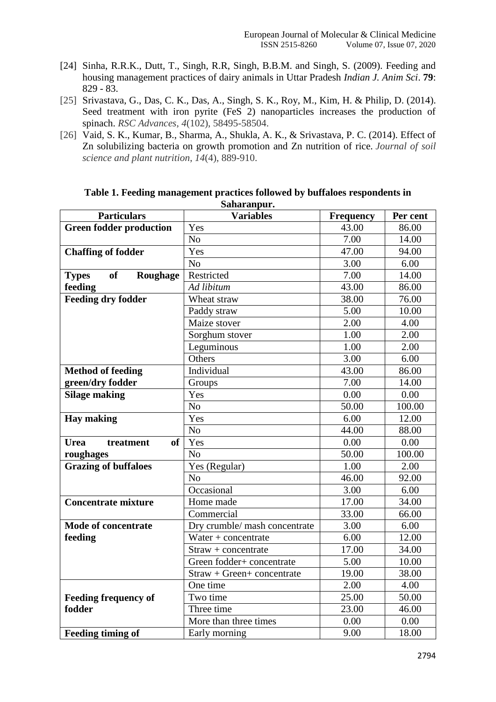- [24] Sinha, R.R.K., Dutt, T., Singh, R.R, Singh, B.B.M. and Singh, S. (2009). Feeding and housing management practices of dairy animals in Uttar Pradesh *Indian J. Anim Sci*. **79**: 829 - 83.
- [25] Srivastava, G., Das, C. K., Das, A., Singh, S. K., Roy, M., Kim, H. & Philip, D. (2014). Seed treatment with iron pyrite (FeS 2) nanoparticles increases the production of spinach. *RSC Advances*, *4*(102), 58495-58504.
- [26] Vaid, S. K., Kumar, B., Sharma, A., Shukla, A. K., & Srivastava, P. C. (2014). Effect of Zn solubilizing bacteria on growth promotion and Zn nutrition of rice. *Journal of soil science and plant nutrition*, *14*(4), 889-910.

| <b>Particulars</b>                    | sanaranpur.<br><b>Variables</b> | <b>Frequency</b> | Per cent |
|---------------------------------------|---------------------------------|------------------|----------|
| <b>Green fodder production</b>        | Yes                             | 43.00            | 86.00    |
|                                       | N <sub>o</sub>                  | 7.00             | 14.00    |
| <b>Chaffing of fodder</b>             | Yes                             | 47.00            | 94.00    |
|                                       | N <sub>o</sub>                  | 3.00             | 6.00     |
| <b>of</b><br>Roughage<br><b>Types</b> | Restricted                      | 7.00             | 14.00    |
| feeding                               | Ad libitum                      | 43.00            | 86.00    |
| <b>Feeding dry fodder</b>             | Wheat straw                     | 38.00            | 76.00    |
|                                       | Paddy straw                     | 5.00             | 10.00    |
|                                       | Maize stover                    | 2.00             | 4.00     |
|                                       | Sorghum stover                  | 1.00             | 2.00     |
|                                       | Leguminous                      | 1.00             | 2.00     |
|                                       | Others                          | 3.00             | 6.00     |
| <b>Method of feeding</b>              | Individual                      | 43.00            | 86.00    |
| green/dry fodder                      | Groups                          | 7.00             | 14.00    |
| <b>Silage making</b>                  | Yes                             | 0.00             | 0.00     |
|                                       | $\overline{No}$                 | 50.00            | 100.00   |
| <b>Hay making</b>                     | Yes                             | 6.00             | 12.00    |
|                                       | N <sub>o</sub>                  | 44.00            | 88.00    |
| <b>of</b><br><b>Urea</b><br>treatment | Yes                             | 0.00             | 0.00     |
| roughages                             | N <sub>o</sub>                  | 50.00            | 100.00   |
| <b>Grazing of buffaloes</b>           | Yes (Regular)                   | 1.00             | 2.00     |
|                                       | N <sub>o</sub>                  | 46.00            | 92.00    |
|                                       | Occasional                      | 3.00             | 6.00     |
| <b>Concentrate mixture</b>            | Home made                       | 17.00            | 34.00    |
|                                       | Commercial                      | 33.00            | 66.00    |
| <b>Mode of concentrate</b>            | Dry crumble/ mash concentrate   | 3.00             | 6.00     |
| feeding                               | Water $+$ concentrate           | 6.00             | 12.00    |
|                                       | $Straw + concentrate$           | 17.00            | 34.00    |
|                                       | Green fodder+ concentrate       | 5.00             | 10.00    |
|                                       | Straw + Green+ concentrate      | 19.00            | 38.00    |
|                                       | One time                        | 2.00             | 4.00     |
| <b>Feeding frequency of</b>           | Two time                        | 25.00            | 50.00    |
| fodder                                | Three time                      | 23.00            | 46.00    |
|                                       | More than three times           | 0.00             | 0.00     |
| <b>Feeding timing of</b>              | Early morning                   | 9.00             | 18.00    |

**Table 1. Feeding management practices followed by buffaloes respondents in Saharanpur.**